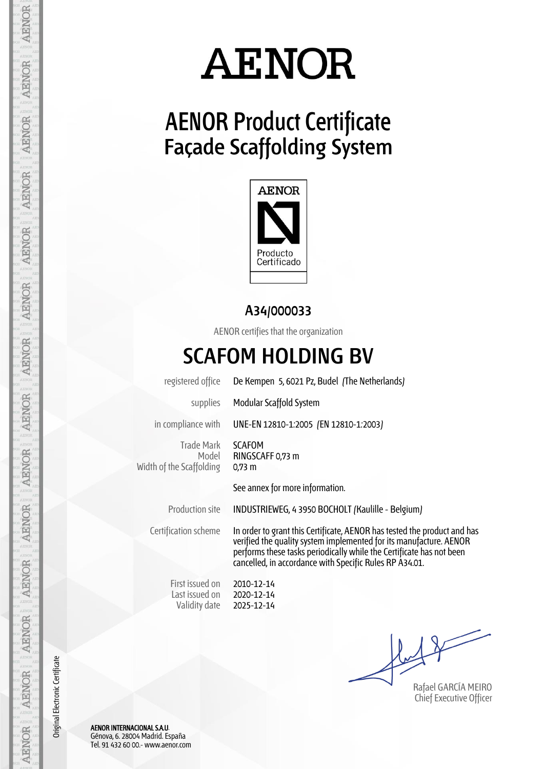### **AENOR Product Certificate Façade Scaffolding System**



#### **A34/000033**

AENOR certifies that the organization

### **SCAFOM HOLDING BV**

registered office De Kempen 5, 6021 Pz, Budel (The Netherlands)

supplies Modular Scaffold System

in compliance with UNE-EN 12810-1:2005 (EN 12810-1:2003)

Trade Mark Model Width of the Scaffolding

SCAFOM RINGSCAFF 0,73 m 0,73 m

See annex for more information.

Production site INDUSTRIEWEG, 4 3950 BOCHOLT (Kaulille - Belgium)

Certification scheme In order to grant this Certificate, AENOR has tested the product and has verified the quality system implemented for its manufacture. AENOR performs these tasks periodically while the Certificate has not been cancelled, in accordance with Specific Rules RP A34.01.

First issued on Last issued on Validity date

2010-12-14 2020-12-14 2025-12-14

Rafael GARCÍA MEIRO Chief Executive Officer

AENOR INTERNACIONAL S.A.U. Génova, 6. 28004 Madrid. España Tel. 91 432 60 00.- www.aenor.com

Original Electronic Certificate

Original Electronic Certificate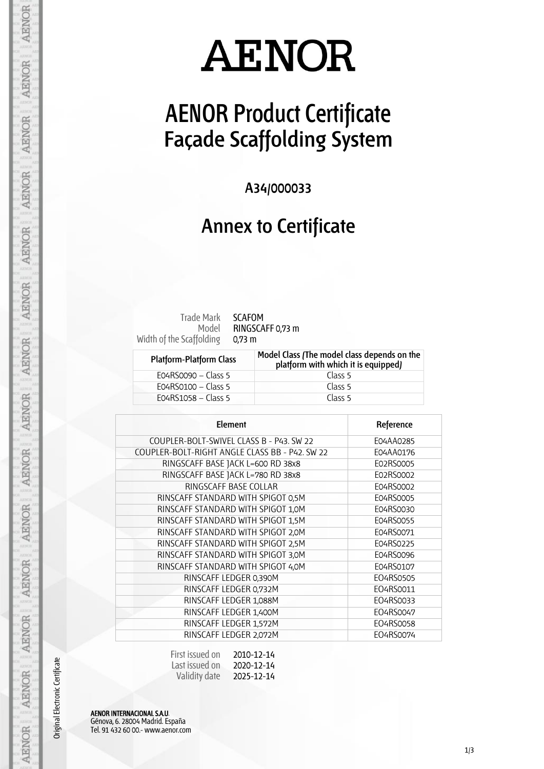## **AENOR Product Certificate Façade Scaffolding System**

**A34/000033**

#### **Annex to Certificate**

Model Width of the Scaffolding

Trade Mark SCAFOM RINGSCAFF 0,73 m 0,73 m

| <b>Platform-Platform Class</b> | Model Class (The model class depends on the<br>platform with which it is equipped) |
|--------------------------------|------------------------------------------------------------------------------------|
| $EO4RSOO9O - Class 5$          | Class 5                                                                            |
| E04RS0100 – Class 5            | Class 5                                                                            |
| EO4RS1058 – Class 5            | Class 5                                                                            |

| Element                                        | Reference |
|------------------------------------------------|-----------|
| COUPLER-BOLT-SWIVEL CLASS B - P43. SW 22       | E04AA0285 |
| COUPLER-BOLT-RIGHT ANGLE CLASS BB - P42. SW 22 | E04AA0176 |
| RINGSCAFF BASE JACK L=600 RD 38x8              | E02RS0005 |
| RINGSCAFF BASE JACK L=780 RD 38x8              | E02RS0002 |
| RINGSCAFF BASE COLLAR                          | E04RS0002 |
| RINSCAFF STANDARD WITH SPIGOT 0,5M             | E04RS0005 |
| RINSCAFF STANDARD WITH SPIGOT 1,0M             | E04RS0030 |
| RINSCAFF STANDARD WITH SPIGOT 1,5M             | E04RS0055 |
| RINSCAFF STANDARD WITH SPIGOT 2,0M             | E04RS0071 |
| RINSCAFF STANDARD WITH SPIGOT 2,5M             | E04RS0225 |
| RINSCAFF STANDARD WITH SPIGOT 3,0M             | E04RS0096 |
| RINSCAFF STANDARD WITH SPIGOT 4,0M             | E04RS0107 |
| RINSCAFF LEDGER 0,390M                         | EO4RS0505 |
| RINSCAFF LEDGER 0,732M                         | E04RS0011 |
| RINSCAFF LEDGER 1,088M                         | E04RS0033 |
| RINSCAFF LEDGER 1,400M                         | EO4RS0047 |
| RINSCAFF LEDGER 1,572M                         | E04RS0058 |
| RINSCAFF LEDGER 2,072M                         | E04RS0074 |

| First issued on | 2010-12-14 |
|-----------------|------------|
| Last issued on  | 2020-12-14 |
| Validity date   | 2025-12-14 |

AENOR INTERNACIONAL S.A.U. Génova, 6. 28004 Madrid. España Tel. 91 432 60 00.- www.aenor.com

Original Electronic Certificate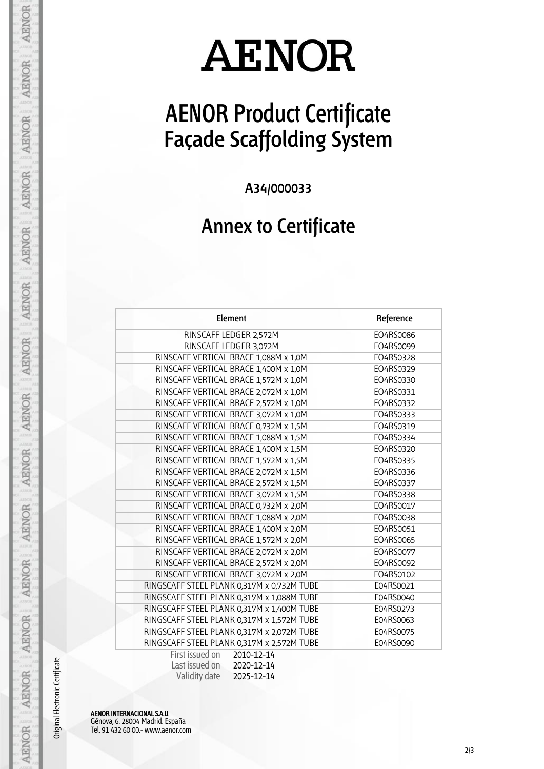## **AENOR Product Certificate Façade Scaffolding System**

**A34/000033**

### **Annex to Certificate**

| Element                                                        | Reference |
|----------------------------------------------------------------|-----------|
| RINSCAFF LEDGER 2,572M                                         | EO4RS0086 |
| RINSCAFF LEDGER 3,072M                                         | EO4RS0099 |
| RINSCAFF VERTICAL BRACE 1,088M x 1,0M                          | EO4RS0328 |
| RINSCAFF VERTICAL BRACE 1,400M x 1,0M                          | EO4RS0329 |
| RINSCAFF VERTICAL BRACE 1,572M x 1,0M                          | EO4RS0330 |
| RINSCAFF VERTICAL BRACE 2,072M x 1,0M                          | EO4RS0331 |
| RINSCAFF VERTICAL BRACE 2,572M x 1,0M                          | EO4RS0332 |
| RINSCAFF VERTICAL BRACE 3,072M x 1,0M                          | EO4RS0333 |
| RINSCAFF VERTICAL BRACE 0,732M x 1,5M                          | EO4RS0319 |
| RINSCAFF VERTICAL BRACE 1,088M x 1,5M                          | EO4RS0334 |
| RINSCAFF VERTICAL BRACE 1,400M x 1,5M                          | EO4RS0320 |
| RINSCAFF VERTICAL BRACE 1,572M x 1,5M                          | EO4RS0335 |
| RINSCAFF VERTICAL BRACE 2,072M x 1,5M                          | EO4RS0336 |
| RINSCAFF VERTICAL BRACE 2,572M x 1,5M                          | EO4RS0337 |
| RINSCAFF VERTICAL BRACE 3,072M x 1,5M                          | EO4RS0338 |
| RINSCAFF VERTICAL BRACE 0,732M x 2,0M                          | EO4RS0017 |
| RINSCAFF VERTICAL BRACE 1,088M x 2,0M                          | EO4RS0038 |
| RINSCAFF VERTICAL BRACE 1,400M x 2,0M                          | EO4RS0051 |
| RINSCAFF VERTICAL BRACE 1,572M x 2,0M                          | EO4RS0065 |
| RINSCAFF VERTICAL BRACE 2,072M x 2,0M                          | EO4RS0077 |
| RINSCAFF VERTICAL BRACE 2,572M x 2,0M                          | EO4RS0092 |
| RINSCAFF VERTICAL BRACE 3,072M x 2,0M                          | EO4RS0102 |
| RINGSCAFF STEEL PLANK 0,317M x 0,732M TUBE                     | E04RS0021 |
| RINGSCAFF STEEL PLANK 0,317M x 1,088M TUBE                     | E04RS0040 |
| RINGSCAFF STEEL PLANK 0,317M x 1,400M TUBE                     | E04RS0273 |
| RINGSCAFF STEEL PLANK 0,317M x 1,572M TUBE                     | E04RS0063 |
| RINGSCAFF STEEL PLANK 0,317M x 2,072M TUBE                     | E04RS0075 |
| RINGSCAFF STEEL PLANK 0,317M x 2,572M TUBE                     | E04RS0090 |
| First issued on<br>2010-12-14<br>$l$ act iccupad on $200-12-1$ |           |

| Last issued on | 2020-12-14 |
|----------------|------------|
| Validity date  | 2025-12-14 |

AENOR INTERNACIONAL S.A.U. Génova, 6. 28004 Madrid. España Tel. 91 432 60 00.- www.aenor.com

Original Electronic Certificate

**AENOR** 

**AENOR** 

**AENOR** 

**AENOR** 

**AENOR** 

**AENOR** 

**AENOR** 

**AENOR** 

**AENOR** 

AENOR

**AENOR** 

AENOR

AENOR

**AENOR**